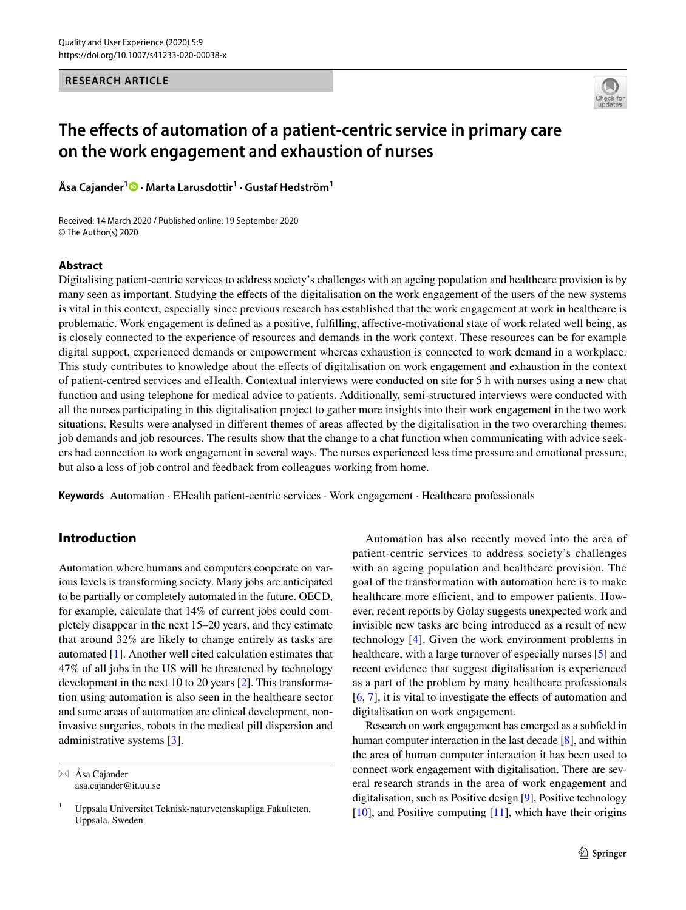# **RESEARCH ARTICLE**



# **The efects of automation of a patient‑centric service in primary care on the work engagement and exhaustion of nurses**

**Åsa Cajander1 · Marta Larusdottir1 · Gustaf Hedström<sup>1</sup>**

Received: 14 March 2020 / Published online: 19 September 2020 © The Author(s) 2020

# **Abstract**

Digitalising patient-centric services to address society's challenges with an ageing population and healthcare provision is by many seen as important. Studying the efects of the digitalisation on the work engagement of the users of the new systems is vital in this context, especially since previous research has established that the work engagement at work in healthcare is problematic. Work engagement is defned as a positive, fulflling, afective-motivational state of work related well being, as is closely connected to the experience of resources and demands in the work context. These resources can be for example digital support, experienced demands or empowerment whereas exhaustion is connected to work demand in a workplace. This study contributes to knowledge about the efects of digitalisation on work engagement and exhaustion in the context of patient-centred services and eHealth. Contextual interviews were conducted on site for 5 h with nurses using a new chat function and using telephone for medical advice to patients. Additionally, semi-structured interviews were conducted with all the nurses participating in this digitalisation project to gather more insights into their work engagement in the two work situations. Results were analysed in diferent themes of areas afected by the digitalisation in the two overarching themes: job demands and job resources. The results show that the change to a chat function when communicating with advice seekers had connection to work engagement in several ways. The nurses experienced less time pressure and emotional pressure, but also a loss of job control and feedback from colleagues working from home.

**Keywords** Automation · EHealth patient-centric services · Work engagement · Healthcare professionals

# **Introduction**

Automation where humans and computers cooperate on various levels is transforming society. Many jobs are anticipated to be partially or completely automated in the future. OECD, for example, calculate that 14% of current jobs could completely disappear in the next 15–20 years, and they estimate that around 32% are likely to change entirely as tasks are automated [\[1](#page-10-0)]. Another well cited calculation estimates that 47% of all jobs in the US will be threatened by technology development in the next 10 to 20 years [\[2](#page-10-1)]. This transformation using automation is also seen in the healthcare sector and some areas of automation are clinical development, noninvasive surgeries, robots in the medical pill dispersion and administrative systems [[3\]](#page-10-2).

 $\boxtimes$  Åsa Cajander asa.cajander@it.uu.se

Automation has also recently moved into the area of patient-centric services to address society's challenges with an ageing population and healthcare provision. The goal of the transformation with automation here is to make healthcare more efficient, and to empower patients. However, recent reports by Golay suggests unexpected work and invisible new tasks are being introduced as a result of new technology [\[4\]](#page-10-3). Given the work environment problems in healthcare, with a large turnover of especially nurses [\[5](#page-10-4)] and recent evidence that suggest digitalisation is experienced as a part of the problem by many healthcare professionals [[6,](#page-11-0) [7\]](#page-11-1), it is vital to investigate the efects of automation and digitalisation on work engagement.

Research on work engagement has emerged as a subfeld in human computer interaction in the last decade [\[8\]](#page-11-2), and within the area of human computer interaction it has been used to connect work engagement with digitalisation. There are several research strands in the area of work engagement and digitalisation, such as Positive design [\[9](#page-11-3)], Positive technology [\[10](#page-11-4)], and Positive computing [[11\]](#page-11-5), which have their origins

<sup>&</sup>lt;sup>1</sup> Uppsala Universitet Teknisk-naturvetenskapliga Fakulteten, Uppsala, Sweden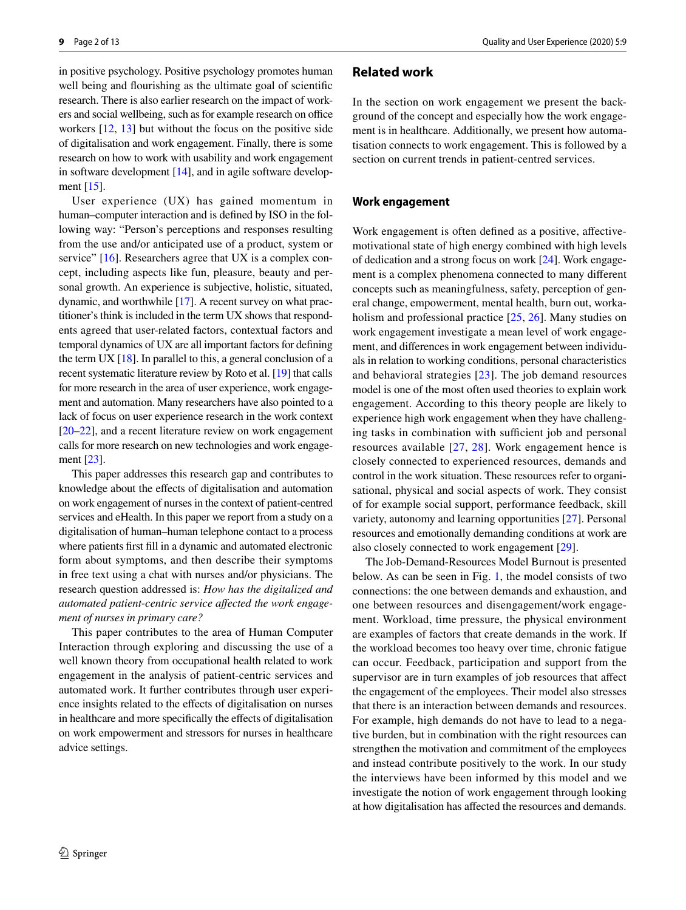in positive psychology. Positive psychology promotes human well being and fourishing as the ultimate goal of scientifc research. There is also earlier research on the impact of workers and social wellbeing, such as for example research on office workers [\[12](#page-11-6), [13\]](#page-11-7) but without the focus on the positive side of digitalisation and work engagement. Finally, there is some research on how to work with usability and work engagement in software development  $[14]$ , and in agile software development [\[15](#page-11-9)].

User experience (UX) has gained momentum in human–computer interaction and is defned by ISO in the following way: "Person's perceptions and responses resulting from the use and/or anticipated use of a product, system or service" [[16\]](#page-11-10). Researchers agree that UX is a complex concept, including aspects like fun, pleasure, beauty and personal growth. An experience is subjective, holistic, situated, dynamic, and worthwhile [\[17](#page-11-11)]. A recent survey on what practitioner's think is included in the term UX shows that respondents agreed that user-related factors, contextual factors and temporal dynamics of UX are all important factors for defning the term UX [\[18\]](#page-11-12). In parallel to this, a general conclusion of a recent systematic literature review by Roto et al. [[19\]](#page-11-13) that calls for more research in the area of user experience, work engagement and automation. Many researchers have also pointed to a lack of focus on user experience research in the work context [\[20](#page-11-14)[–22](#page-11-15)], and a recent literature review on work engagement calls for more research on new technologies and work engagement [\[23](#page-11-16)].

This paper addresses this research gap and contributes to knowledge about the effects of digitalisation and automation on work engagement of nurses in the context of patient-centred services and eHealth. In this paper we report from a study on a digitalisation of human–human telephone contact to a process where patients frst fll in a dynamic and automated electronic form about symptoms, and then describe their symptoms in free text using a chat with nurses and/or physicians. The research question addressed is: *How has the digitalized and automated patient*-*centric service afected the work engagement of nurses in primary care?*

This paper contributes to the area of Human Computer Interaction through exploring and discussing the use of a well known theory from occupational health related to work engagement in the analysis of patient-centric services and automated work. It further contributes through user experience insights related to the efects of digitalisation on nurses in healthcare and more specifcally the efects of digitalisation on work empowerment and stressors for nurses in healthcare advice settings.

# **Related work**

In the section on work engagement we present the background of the concept and especially how the work engagement is in healthcare. Additionally, we present how automatisation connects to work engagement. This is followed by a section on current trends in patient-centred services.

### **Work engagement**

Work engagement is often defned as a positive, afectivemotivational state of high energy combined with high levels of dedication and a strong focus on work [\[24](#page-11-17)]. Work engagement is a complex phenomena connected to many diferent concepts such as meaningfulness, safety, perception of general change, empowerment, mental health, burn out, worka-holism and professional practice [\[25,](#page-11-18) [26\]](#page-11-19). Many studies on work engagement investigate a mean level of work engagement, and diferences in work engagement between individuals in relation to working conditions, personal characteristics and behavioral strategies [[23\]](#page-11-16). The job demand resources model is one of the most often used theories to explain work engagement. According to this theory people are likely to experience high work engagement when they have challenging tasks in combination with sufficient job and personal resources available [\[27,](#page-11-20) [28](#page-11-21)]. Work engagement hence is closely connected to experienced resources, demands and control in the work situation. These resources refer to organisational, physical and social aspects of work. They consist of for example social support, performance feedback, skill variety, autonomy and learning opportunities [[27\]](#page-11-20). Personal resources and emotionally demanding conditions at work are also closely connected to work engagement [[29\]](#page-11-22).

The Job-Demand-Resources Model Burnout is presented below. As can be seen in Fig. [1](#page-2-0), the model consists of two connections: the one between demands and exhaustion, and one between resources and disengagement/work engagement. Workload, time pressure, the physical environment are examples of factors that create demands in the work. If the workload becomes too heavy over time, chronic fatigue can occur. Feedback, participation and support from the supervisor are in turn examples of job resources that afect the engagement of the employees. Their model also stresses that there is an interaction between demands and resources. For example, high demands do not have to lead to a negative burden, but in combination with the right resources can strengthen the motivation and commitment of the employees and instead contribute positively to the work. In our study the interviews have been informed by this model and we investigate the notion of work engagement through looking at how digitalisation has afected the resources and demands.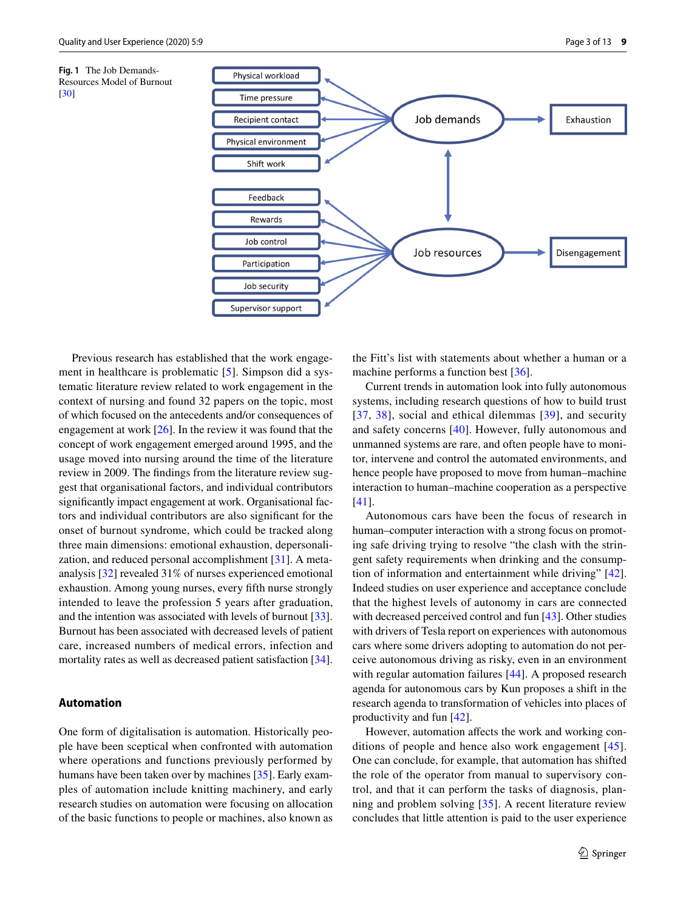<span id="page-2-0"></span>**Fig. 1** The Job Demands-

[[30](#page-11-36)]



Previous research has established that the work engagement in healthcare is problematic [\[5](#page-10-4)]. Simpson did a systematic literature review related to work engagement in the context of nursing and found 32 papers on the topic, most of which focused on the antecedents and/or consequences of engagement at work [[26\]](#page-11-19). In the review it was found that the concept of work engagement emerged around 1995, and the usage moved into nursing around the time of the literature review in 2009. The fndings from the literature review suggest that organisational factors, and individual contributors signifcantly impact engagement at work. Organisational factors and individual contributors are also signifcant for the onset of burnout syndrome, which could be tracked along three main dimensions: emotional exhaustion, depersonalization, and reduced personal accomplishment [[31\]](#page-11-23). A metaanalysis [[32\]](#page-11-24) revealed 31% of nurses experienced emotional exhaustion. Among young nurses, every ffth nurse strongly intended to leave the profession 5 years after graduation, and the intention was associated with levels of burnout [\[33](#page-11-25)]. Burnout has been associated with decreased levels of patient care, increased numbers of medical errors, infection and mortality rates as well as decreased patient satisfaction [\[34](#page-11-26)].

### **Automation**

One form of digitalisation is automation. Historically people have been sceptical when confronted with automation where operations and functions previously performed by humans have been taken over by machines [\[35](#page-11-27)]. Early examples of automation include knitting machinery, and early research studies on automation were focusing on allocation of the basic functions to people or machines, also known as

the Fitt's list with statements about whether a human or a machine performs a function best [[36\]](#page-11-28).

Current trends in automation look into fully autonomous systems, including research questions of how to build trust [[37](#page-11-29), [38\]](#page-11-30), social and ethical dilemmas [\[39\]](#page-11-31), and security and safety concerns [[40\]](#page-11-32). However, fully autonomous and unmanned systems are rare, and often people have to monitor, intervene and control the automated environments, and hence people have proposed to move from human–machine interaction to human–machine cooperation as a perspective [[41\]](#page-11-33).

Autonomous cars have been the focus of research in human–computer interaction with a strong focus on promoting safe driving trying to resolve "the clash with the stringent safety requirements when drinking and the consumption of information and entertainment while driving" [\[42](#page-11-34)]. Indeed studies on user experience and acceptance conclude that the highest levels of autonomy in cars are connected with decreased perceived control and fun [[43\]](#page-11-35). Other studies with drivers of Tesla report on experiences with autonomous cars where some drivers adopting to automation do not perceive autonomous driving as risky, even in an environment with regular automation failures [\[44\]](#page-12-0). A proposed research agenda for autonomous cars by Kun proposes a shift in the research agenda to transformation of vehicles into places of productivity and fun [\[42](#page-11-34)].

However, automation afects the work and working conditions of people and hence also work engagement [[45](#page-12-1)]. One can conclude, for example, that automation has shifted the role of the operator from manual to supervisory control, and that it can perform the tasks of diagnosis, planning and problem solving [[35](#page-11-27)]. A recent literature review concludes that little attention is paid to the user experience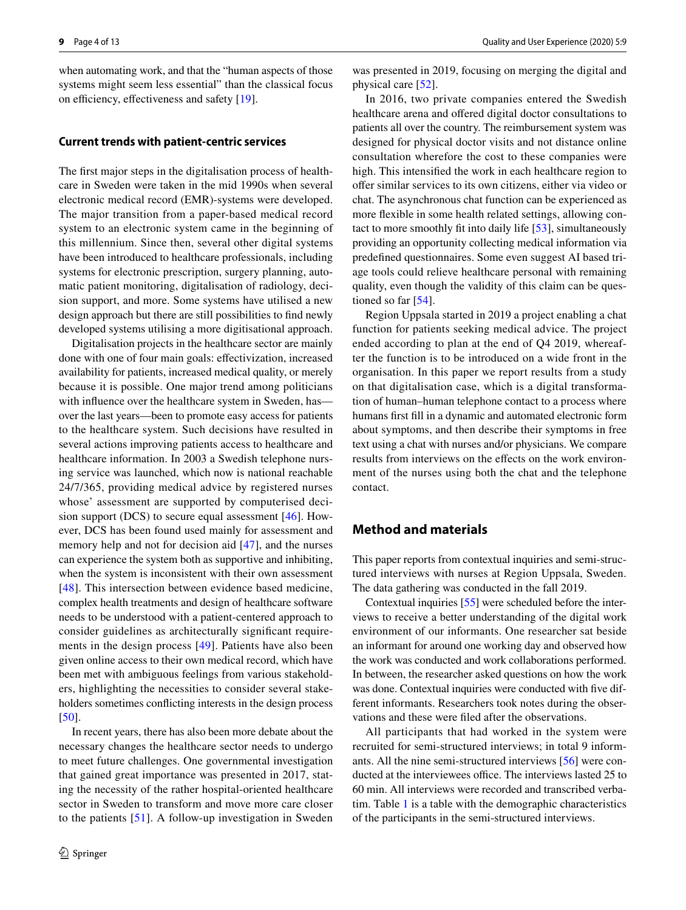when automating work, and that the "human aspects of those systems might seem less essential" than the classical focus on efficiency, effectiveness and safety  $[19]$  $[19]$ .

#### **Current trends with patient‑centric services**

The frst major steps in the digitalisation process of healthcare in Sweden were taken in the mid 1990s when several electronic medical record (EMR)-systems were developed. The major transition from a paper-based medical record system to an electronic system came in the beginning of this millennium. Since then, several other digital systems have been introduced to healthcare professionals, including systems for electronic prescription, surgery planning, automatic patient monitoring, digitalisation of radiology, decision support, and more. Some systems have utilised a new design approach but there are still possibilities to fnd newly developed systems utilising a more digitisational approach.

Digitalisation projects in the healthcare sector are mainly done with one of four main goals: efectivization, increased availability for patients, increased medical quality, or merely because it is possible. One major trend among politicians with infuence over the healthcare system in Sweden, has over the last years—been to promote easy access for patients to the healthcare system. Such decisions have resulted in several actions improving patients access to healthcare and healthcare information. In 2003 a Swedish telephone nursing service was launched, which now is national reachable 24/7/365, providing medical advice by registered nurses whose' assessment are supported by computerised decision support (DCS) to secure equal assessment [[46\]](#page-12-2). However, DCS has been found used mainly for assessment and memory help and not for decision aid [\[47\]](#page-12-3), and the nurses can experience the system both as supportive and inhibiting, when the system is inconsistent with their own assessment [\[48\]](#page-12-4). This intersection between evidence based medicine, complex health treatments and design of healthcare software needs to be understood with a patient-centered approach to consider guidelines as architecturally signifcant requirements in the design process [[49](#page-12-5)]. Patients have also been given online access to their own medical record, which have been met with ambiguous feelings from various stakeholders, highlighting the necessities to consider several stakeholders sometimes conficting interests in the design process [\[50\]](#page-12-6).

In recent years, there has also been more debate about the necessary changes the healthcare sector needs to undergo to meet future challenges. One governmental investigation that gained great importance was presented in 2017, stating the necessity of the rather hospital-oriented healthcare sector in Sweden to transform and move more care closer to the patients [[51](#page-12-7)]. A follow-up investigation in Sweden

was presented in 2019, focusing on merging the digital and physical care [[52\]](#page-12-8).

In 2016, two private companies entered the Swedish healthcare arena and ofered digital doctor consultations to patients all over the country. The reimbursement system was designed for physical doctor visits and not distance online consultation wherefore the cost to these companies were high. This intensifed the work in each healthcare region to ofer similar services to its own citizens, either via video or chat. The asynchronous chat function can be experienced as more fexible in some health related settings, allowing contact to more smoothly ft into daily life [\[53](#page-12-9)], simultaneously providing an opportunity collecting medical information via predefned questionnaires. Some even suggest AI based triage tools could relieve healthcare personal with remaining quality, even though the validity of this claim can be questioned so far [\[54](#page-12-10)].

Region Uppsala started in 2019 a project enabling a chat function for patients seeking medical advice. The project ended according to plan at the end of Q4 2019, whereafter the function is to be introduced on a wide front in the organisation. In this paper we report results from a study on that digitalisation case, which is a digital transformation of human–human telephone contact to a process where humans frst fll in a dynamic and automated electronic form about symptoms, and then describe their symptoms in free text using a chat with nurses and/or physicians. We compare results from interviews on the efects on the work environment of the nurses using both the chat and the telephone contact.

# **Method and materials**

This paper reports from contextual inquiries and semi-structured interviews with nurses at Region Uppsala, Sweden. The data gathering was conducted in the fall 2019.

Contextual inquiries [\[55](#page-12-11)] were scheduled before the interviews to receive a better understanding of the digital work environment of our informants. One researcher sat beside an informant for around one working day and observed how the work was conducted and work collaborations performed. In between, the researcher asked questions on how the work was done. Contextual inquiries were conducted with fve different informants. Researchers took notes during the observations and these were fled after the observations.

All participants that had worked in the system were recruited for semi-structured interviews; in total 9 informants. All the nine semi-structured interviews [\[56](#page-12-12)] were conducted at the interviewees office. The interviews lasted 25 to 60 min. All interviews were recorded and transcribed verba-tim. Table [1](#page-4-0) is a table with the demographic characteristics of the participants in the semi-structured interviews.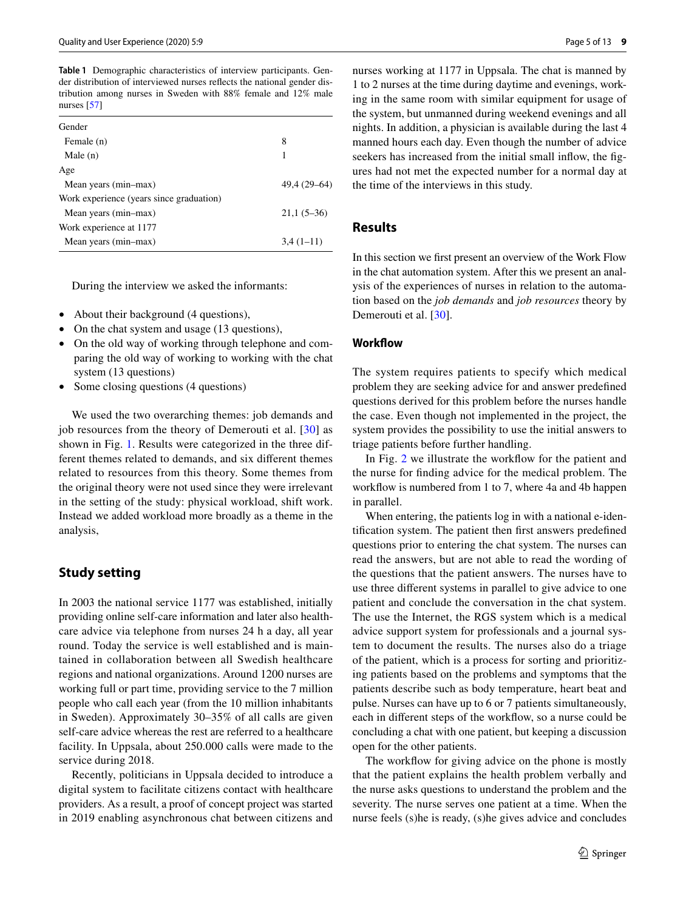<span id="page-4-0"></span>**Table 1** Demographic characteristics of interview participants. Gender distribution of interviewed nurses refects the national gender distribution among nurses in Sweden with 88% female and 12% male nurses [[57](#page-12-13)]

| Gender                                   |              |
|------------------------------------------|--------------|
| Female (n)                               | 8            |
| Male $(n)$                               | 1            |
| Age                                      |              |
| Mean years (min-max)                     | 49,4 (29–64) |
| Work experience (years since graduation) |              |
| Mean years (min-max)                     | $21,1(5-36)$ |
| Work experience at 1177                  |              |
| Mean years (min-max)                     | $3,4(1-11)$  |
|                                          |              |

During the interview we asked the informants:

- About their background (4 questions),
- On the chat system and usage (13 questions),
- On the old way of working through telephone and comparing the old way of working to working with the chat system (13 questions)
- Some closing questions (4 questions)

We used the two overarching themes: job demands and job resources from the theory of Demerouti et al. [[30](#page-11-36)] as shown in Fig. [1.](#page-2-0) Results were categorized in the three different themes related to demands, and six diferent themes related to resources from this theory. Some themes from the original theory were not used since they were irrelevant in the setting of the study: physical workload, shift work. Instead we added workload more broadly as a theme in the analysis,

# **Study setting**

In 2003 the national service 1177 was established, initially providing online self-care information and later also healthcare advice via telephone from nurses 24 h a day, all year round. Today the service is well established and is maintained in collaboration between all Swedish healthcare regions and national organizations. Around 1200 nurses are working full or part time, providing service to the 7 million people who call each year (from the 10 million inhabitants in Sweden). Approximately 30–35% of all calls are given self-care advice whereas the rest are referred to a healthcare facility. In Uppsala, about 250.000 calls were made to the service during 2018.

Recently, politicians in Uppsala decided to introduce a digital system to facilitate citizens contact with healthcare providers. As a result, a proof of concept project was started in 2019 enabling asynchronous chat between citizens and nurses working at 1177 in Uppsala. The chat is manned by 1 to 2 nurses at the time during daytime and evenings, working in the same room with similar equipment for usage of the system, but unmanned during weekend evenings and all nights. In addition, a physician is available during the last 4 manned hours each day. Even though the number of advice seekers has increased from the initial small infow, the fgures had not met the expected number for a normal day at the time of the interviews in this study.

# **Results**

In this section we frst present an overview of the Work Flow in the chat automation system. After this we present an analysis of the experiences of nurses in relation to the automation based on the *job demands* and *job resources* theory by Demerouti et al. [\[30](#page-11-36)].

#### **Workfow**

The system requires patients to specify which medical problem they are seeking advice for and answer predefned questions derived for this problem before the nurses handle the case. Even though not implemented in the project, the system provides the possibility to use the initial answers to triage patients before further handling.

In Fig. [2](#page-5-0) we illustrate the workfow for the patient and the nurse for fnding advice for the medical problem. The workflow is numbered from 1 to 7, where 4a and 4b happen in parallel.

When entering, the patients log in with a national e-identifcation system. The patient then frst answers predefned questions prior to entering the chat system. The nurses can read the answers, but are not able to read the wording of the questions that the patient answers. The nurses have to use three diferent systems in parallel to give advice to one patient and conclude the conversation in the chat system. The use the Internet, the RGS system which is a medical advice support system for professionals and a journal system to document the results. The nurses also do a triage of the patient, which is a process for sorting and prioritizing patients based on the problems and symptoms that the patients describe such as body temperature, heart beat and pulse. Nurses can have up to 6 or 7 patients simultaneously, each in different steps of the workflow, so a nurse could be concluding a chat with one patient, but keeping a discussion open for the other patients.

The workflow for giving advice on the phone is mostly that the patient explains the health problem verbally and the nurse asks questions to understand the problem and the severity. The nurse serves one patient at a time. When the nurse feels (s)he is ready, (s)he gives advice and concludes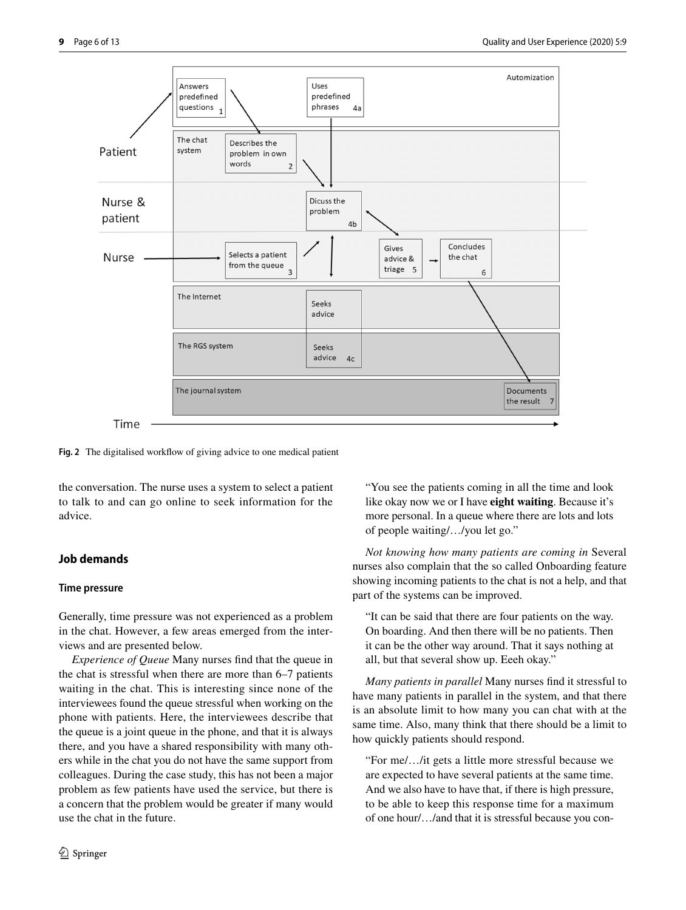

<span id="page-5-0"></span>

the conversation. The nurse uses a system to select a patient to talk to and can go online to seek information for the advice.

# **Job demands**

# **Time pressure**

Generally, time pressure was not experienced as a problem in the chat. However, a few areas emerged from the interviews and are presented below.

*Experience of Queue* Many nurses fnd that the queue in the chat is stressful when there are more than 6–7 patients waiting in the chat. This is interesting since none of the interviewees found the queue stressful when working on the phone with patients. Here, the interviewees describe that the queue is a joint queue in the phone, and that it is always there, and you have a shared responsibility with many others while in the chat you do not have the same support from colleagues. During the case study, this has not been a major problem as few patients have used the service, but there is a concern that the problem would be greater if many would use the chat in the future.

"You see the patients coming in all the time and look like okay now we or I have **eight waiting**. Because it's more personal. In a queue where there are lots and lots of people waiting/…/you let go."

*Not knowing how many patients are coming in* Several nurses also complain that the so called Onboarding feature showing incoming patients to the chat is not a help, and that part of the systems can be improved.

"It can be said that there are four patients on the way. On boarding. And then there will be no patients. Then it can be the other way around. That it says nothing at all, but that several show up. Eeeh okay."

*Many patients in parallel* Many nurses fnd it stressful to have many patients in parallel in the system, and that there is an absolute limit to how many you can chat with at the same time. Also, many think that there should be a limit to how quickly patients should respond.

"For me/…/it gets a little more stressful because we are expected to have several patients at the same time. And we also have to have that, if there is high pressure, to be able to keep this response time for a maximum of one hour/…/and that it is stressful because you con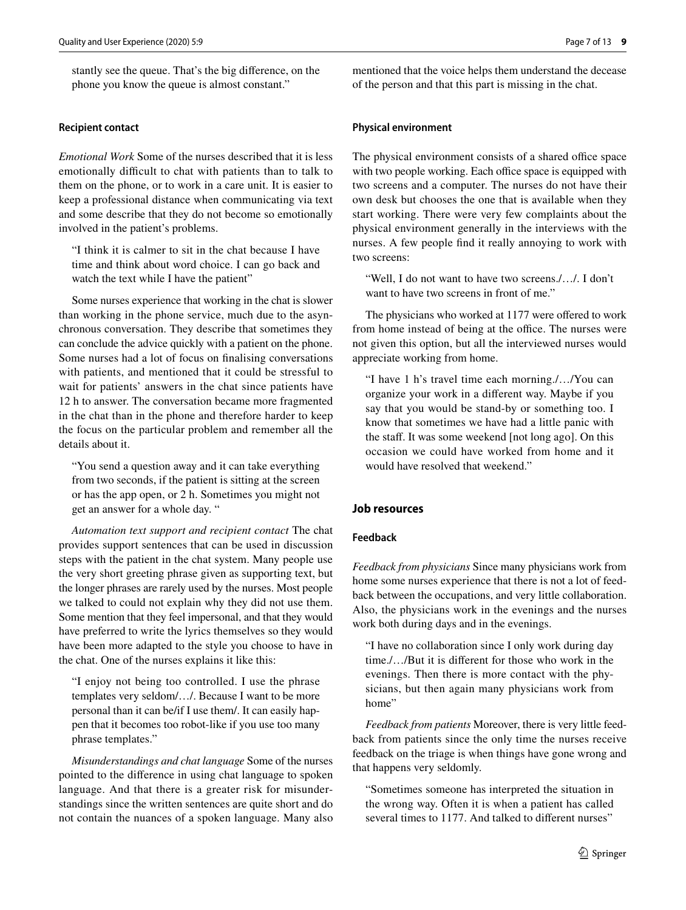stantly see the queue. That's the big diference, on the phone you know the queue is almost constant."

#### **Recipient contact**

*Emotional Work* Some of the nurses described that it is less emotionally difficult to chat with patients than to talk to them on the phone, or to work in a care unit. It is easier to keep a professional distance when communicating via text and some describe that they do not become so emotionally involved in the patient's problems.

"I think it is calmer to sit in the chat because I have time and think about word choice. I can go back and watch the text while I have the patient"

Some nurses experience that working in the chat is slower than working in the phone service, much due to the asynchronous conversation. They describe that sometimes they can conclude the advice quickly with a patient on the phone. Some nurses had a lot of focus on fnalising conversations with patients, and mentioned that it could be stressful to wait for patients' answers in the chat since patients have 12 h to answer. The conversation became more fragmented in the chat than in the phone and therefore harder to keep the focus on the particular problem and remember all the details about it.

"You send a question away and it can take everything from two seconds, if the patient is sitting at the screen or has the app open, or 2 h. Sometimes you might not get an answer for a whole day. "

*Automation text support and recipient contact* The chat provides support sentences that can be used in discussion steps with the patient in the chat system. Many people use the very short greeting phrase given as supporting text, but the longer phrases are rarely used by the nurses. Most people we talked to could not explain why they did not use them. Some mention that they feel impersonal, and that they would have preferred to write the lyrics themselves so they would have been more adapted to the style you choose to have in the chat. One of the nurses explains it like this:

"I enjoy not being too controlled. I use the phrase templates very seldom/…/. Because I want to be more personal than it can be/if I use them/. It can easily happen that it becomes too robot-like if you use too many phrase templates."

*Misunderstandings and chat language* Some of the nurses pointed to the diference in using chat language to spoken language. And that there is a greater risk for misunderstandings since the written sentences are quite short and do not contain the nuances of a spoken language. Many also mentioned that the voice helps them understand the decease of the person and that this part is missing in the chat.

# **Physical environment**

The physical environment consists of a shared office space with two people working. Each office space is equipped with two screens and a computer. The nurses do not have their own desk but chooses the one that is available when they start working. There were very few complaints about the physical environment generally in the interviews with the nurses. A few people fnd it really annoying to work with two screens:

"Well, I do not want to have two screens./…/. I don't want to have two screens in front of me."

The physicians who worked at 1177 were offered to work from home instead of being at the office. The nurses were not given this option, but all the interviewed nurses would appreciate working from home.

"I have 1 h's travel time each morning./…/You can organize your work in a diferent way. Maybe if you say that you would be stand-by or something too. I know that sometimes we have had a little panic with the staf. It was some weekend [not long ago]. On this occasion we could have worked from home and it would have resolved that weekend."

# **Job resources**

#### **Feedback**

*Feedback from physicians* Since many physicians work from home some nurses experience that there is not a lot of feedback between the occupations, and very little collaboration. Also, the physicians work in the evenings and the nurses work both during days and in the evenings.

"I have no collaboration since I only work during day time./…/But it is diferent for those who work in the evenings. Then there is more contact with the physicians, but then again many physicians work from home"

*Feedback from patients* Moreover, there is very little feedback from patients since the only time the nurses receive feedback on the triage is when things have gone wrong and that happens very seldomly.

"Sometimes someone has interpreted the situation in the wrong way. Often it is when a patient has called several times to 1177. And talked to different nurses"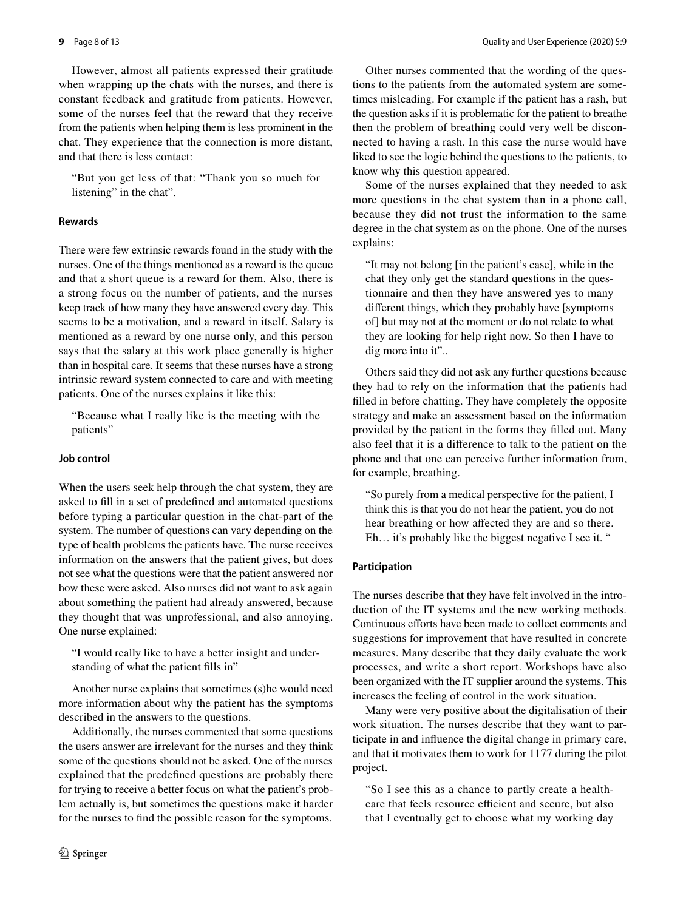However, almost all patients expressed their gratitude when wrapping up the chats with the nurses, and there is constant feedback and gratitude from patients. However, some of the nurses feel that the reward that they receive from the patients when helping them is less prominent in the chat. They experience that the connection is more distant, and that there is less contact:

"But you get less of that: "Thank you so much for listening" in the chat".

#### **Rewards**

There were few extrinsic rewards found in the study with the nurses. One of the things mentioned as a reward is the queue and that a short queue is a reward for them. Also, there is a strong focus on the number of patients, and the nurses keep track of how many they have answered every day. This seems to be a motivation, and a reward in itself. Salary is mentioned as a reward by one nurse only, and this person says that the salary at this work place generally is higher than in hospital care. It seems that these nurses have a strong intrinsic reward system connected to care and with meeting patients. One of the nurses explains it like this:

"Because what I really like is the meeting with the patients"

## **Job control**

When the users seek help through the chat system, they are asked to fll in a set of predefned and automated questions before typing a particular question in the chat-part of the system. The number of questions can vary depending on the type of health problems the patients have. The nurse receives information on the answers that the patient gives, but does not see what the questions were that the patient answered nor how these were asked. Also nurses did not want to ask again about something the patient had already answered, because they thought that was unprofessional, and also annoying. One nurse explained:

"I would really like to have a better insight and understanding of what the patient flls in"

Another nurse explains that sometimes (s)he would need more information about why the patient has the symptoms described in the answers to the questions.

Additionally, the nurses commented that some questions the users answer are irrelevant for the nurses and they think some of the questions should not be asked. One of the nurses explained that the predefned questions are probably there for trying to receive a better focus on what the patient's problem actually is, but sometimes the questions make it harder for the nurses to fnd the possible reason for the symptoms.

Other nurses commented that the wording of the questions to the patients from the automated system are sometimes misleading. For example if the patient has a rash, but the question asks if it is problematic for the patient to breathe then the problem of breathing could very well be disconnected to having a rash. In this case the nurse would have liked to see the logic behind the questions to the patients, to know why this question appeared.

Some of the nurses explained that they needed to ask more questions in the chat system than in a phone call, because they did not trust the information to the same degree in the chat system as on the phone. One of the nurses explains:

"It may not belong [in the patient's case], while in the chat they only get the standard questions in the questionnaire and then they have answered yes to many diferent things, which they probably have [symptoms of] but may not at the moment or do not relate to what they are looking for help right now. So then I have to dig more into it"..

Others said they did not ask any further questions because they had to rely on the information that the patients had flled in before chatting. They have completely the opposite strategy and make an assessment based on the information provided by the patient in the forms they flled out. Many also feel that it is a diference to talk to the patient on the phone and that one can perceive further information from, for example, breathing.

"So purely from a medical perspective for the patient, I think this is that you do not hear the patient, you do not hear breathing or how afected they are and so there. Eh… it's probably like the biggest negative I see it. "

#### **Participation**

The nurses describe that they have felt involved in the introduction of the IT systems and the new working methods. Continuous efforts have been made to collect comments and suggestions for improvement that have resulted in concrete measures. Many describe that they daily evaluate the work processes, and write a short report. Workshops have also been organized with the IT supplier around the systems. This increases the feeling of control in the work situation.

Many were very positive about the digitalisation of their work situation. The nurses describe that they want to participate in and infuence the digital change in primary care, and that it motivates them to work for 1177 during the pilot project.

"So I see this as a chance to partly create a healthcare that feels resource efficient and secure, but also that I eventually get to choose what my working day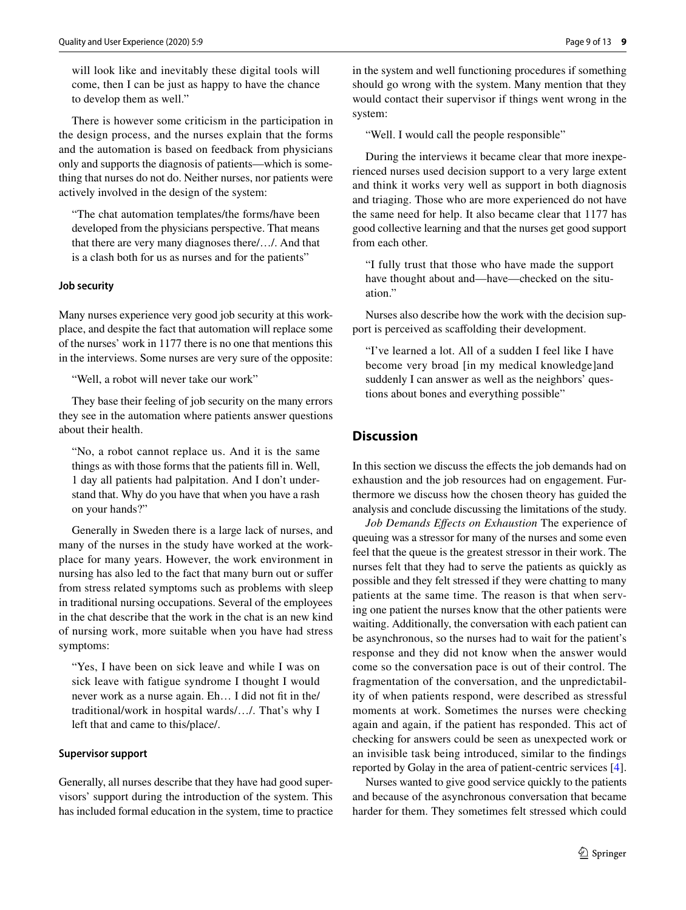will look like and inevitably these digital tools will come, then I can be just as happy to have the chance to develop them as well."

There is however some criticism in the participation in the design process, and the nurses explain that the forms and the automation is based on feedback from physicians only and supports the diagnosis of patients—which is something that nurses do not do. Neither nurses, nor patients were actively involved in the design of the system:

"The chat automation templates/the forms/have been developed from the physicians perspective. That means that there are very many diagnoses there/…/. And that is a clash both for us as nurses and for the patients"

#### **Job security**

Many nurses experience very good job security at this workplace, and despite the fact that automation will replace some of the nurses' work in 1177 there is no one that mentions this in the interviews. Some nurses are very sure of the opposite:

"Well, a robot will never take our work"

They base their feeling of job security on the many errors they see in the automation where patients answer questions about their health.

"No, a robot cannot replace us. And it is the same things as with those forms that the patients fll in. Well, 1 day all patients had palpitation. And I don't understand that. Why do you have that when you have a rash on your hands?"

Generally in Sweden there is a large lack of nurses, and many of the nurses in the study have worked at the workplace for many years. However, the work environment in nursing has also led to the fact that many burn out or sufer from stress related symptoms such as problems with sleep in traditional nursing occupations. Several of the employees in the chat describe that the work in the chat is an new kind of nursing work, more suitable when you have had stress symptoms:

"Yes, I have been on sick leave and while I was on sick leave with fatigue syndrome I thought I would never work as a nurse again. Eh… I did not ft in the/ traditional/work in hospital wards/…/. That's why I left that and came to this/place/.

#### **Supervisor support**

Generally, all nurses describe that they have had good supervisors' support during the introduction of the system. This has included formal education in the system, time to practice in the system and well functioning procedures if something should go wrong with the system. Many mention that they would contact their supervisor if things went wrong in the system:

"Well. I would call the people responsible"

During the interviews it became clear that more inexperienced nurses used decision support to a very large extent and think it works very well as support in both diagnosis and triaging. Those who are more experienced do not have the same need for help. It also became clear that 1177 has good collective learning and that the nurses get good support from each other.

"I fully trust that those who have made the support have thought about and—have—checked on the situation."

Nurses also describe how the work with the decision support is perceived as scafolding their development.

"I've learned a lot. All of a sudden I feel like I have become very broad [in my medical knowledge]and suddenly I can answer as well as the neighbors' questions about bones and everything possible"

# **Discussion**

In this section we discuss the efects the job demands had on exhaustion and the job resources had on engagement. Furthermore we discuss how the chosen theory has guided the analysis and conclude discussing the limitations of the study.

*Job Demands Efects on Exhaustion* The experience of queuing was a stressor for many of the nurses and some even feel that the queue is the greatest stressor in their work. The nurses felt that they had to serve the patients as quickly as possible and they felt stressed if they were chatting to many patients at the same time. The reason is that when serving one patient the nurses know that the other patients were waiting. Additionally, the conversation with each patient can be asynchronous, so the nurses had to wait for the patient's response and they did not know when the answer would come so the conversation pace is out of their control. The fragmentation of the conversation, and the unpredictability of when patients respond, were described as stressful moments at work. Sometimes the nurses were checking again and again, if the patient has responded. This act of checking for answers could be seen as unexpected work or an invisible task being introduced, similar to the fndings reported by Golay in the area of patient-centric services [\[4](#page-10-3)].

Nurses wanted to give good service quickly to the patients and because of the asynchronous conversation that became harder for them. They sometimes felt stressed which could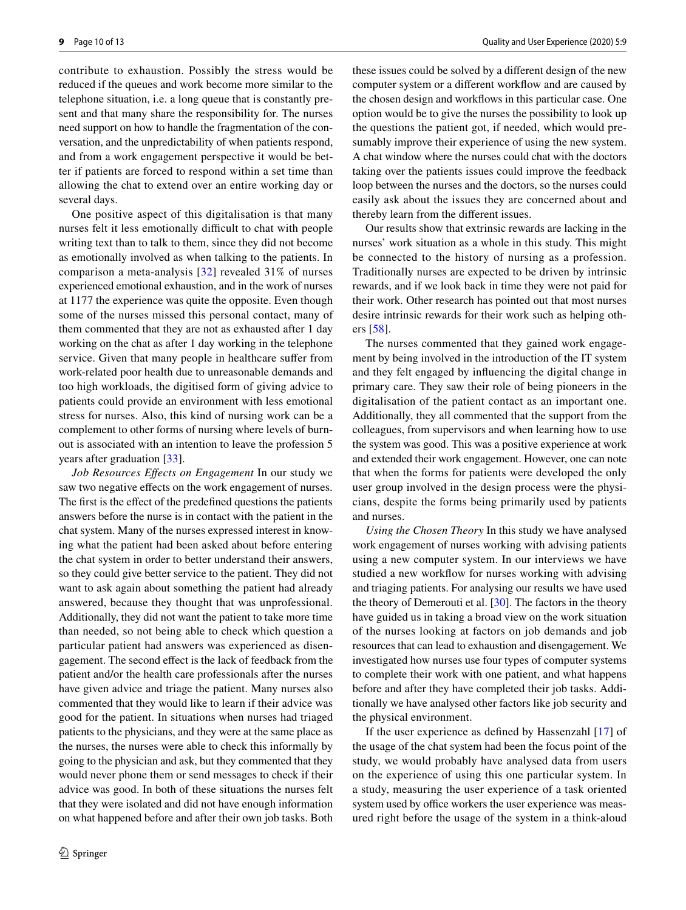contribute to exhaustion. Possibly the stress would be reduced if the queues and work become more similar to the telephone situation, i.e. a long queue that is constantly present and that many share the responsibility for. The nurses need support on how to handle the fragmentation of the conversation, and the unpredictability of when patients respond, and from a work engagement perspective it would be better if patients are forced to respond within a set time than allowing the chat to extend over an entire working day or

several days. One positive aspect of this digitalisation is that many nurses felt it less emotionally difficult to chat with people writing text than to talk to them, since they did not become as emotionally involved as when talking to the patients. In comparison a meta-analysis [\[32\]](#page-11-24) revealed 31% of nurses experienced emotional exhaustion, and in the work of nurses at 1177 the experience was quite the opposite. Even though some of the nurses missed this personal contact, many of them commented that they are not as exhausted after 1 day working on the chat as after 1 day working in the telephone service. Given that many people in healthcare sufer from work-related poor health due to unreasonable demands and too high workloads, the digitised form of giving advice to patients could provide an environment with less emotional stress for nurses. Also, this kind of nursing work can be a complement to other forms of nursing where levels of burnout is associated with an intention to leave the profession 5 years after graduation [[33\]](#page-11-25).

*Job Resources Efects on Engagement* In our study we saw two negative effects on the work engagement of nurses. The first is the effect of the predefined questions the patients answers before the nurse is in contact with the patient in the chat system. Many of the nurses expressed interest in knowing what the patient had been asked about before entering the chat system in order to better understand their answers, so they could give better service to the patient. They did not want to ask again about something the patient had already answered, because they thought that was unprofessional. Additionally, they did not want the patient to take more time than needed, so not being able to check which question a particular patient had answers was experienced as disengagement. The second efect is the lack of feedback from the patient and/or the health care professionals after the nurses have given advice and triage the patient. Many nurses also commented that they would like to learn if their advice was good for the patient. In situations when nurses had triaged patients to the physicians, and they were at the same place as the nurses, the nurses were able to check this informally by going to the physician and ask, but they commented that they would never phone them or send messages to check if their advice was good. In both of these situations the nurses felt that they were isolated and did not have enough information on what happened before and after their own job tasks. Both these issues could be solved by a diferent design of the new computer system or a diferent workfow and are caused by the chosen design and workfows in this particular case. One option would be to give the nurses the possibility to look up the questions the patient got, if needed, which would presumably improve their experience of using the new system. A chat window where the nurses could chat with the doctors taking over the patients issues could improve the feedback loop between the nurses and the doctors, so the nurses could easily ask about the issues they are concerned about and thereby learn from the diferent issues.

Our results show that extrinsic rewards are lacking in the nurses' work situation as a whole in this study. This might be connected to the history of nursing as a profession. Traditionally nurses are expected to be driven by intrinsic rewards, and if we look back in time they were not paid for their work. Other research has pointed out that most nurses desire intrinsic rewards for their work such as helping others [[58\]](#page-12-14).

The nurses commented that they gained work engagement by being involved in the introduction of the IT system and they felt engaged by infuencing the digital change in primary care. They saw their role of being pioneers in the digitalisation of the patient contact as an important one. Additionally, they all commented that the support from the colleagues, from supervisors and when learning how to use the system was good. This was a positive experience at work and extended their work engagement. However, one can note that when the forms for patients were developed the only user group involved in the design process were the physicians, despite the forms being primarily used by patients and nurses.

*Using the Chosen Theory* In this study we have analysed work engagement of nurses working with advising patients using a new computer system. In our interviews we have studied a new workfow for nurses working with advising and triaging patients. For analysing our results we have used the theory of Demerouti et al. [[30\]](#page-11-36). The factors in the theory have guided us in taking a broad view on the work situation of the nurses looking at factors on job demands and job resources that can lead to exhaustion and disengagement. We investigated how nurses use four types of computer systems to complete their work with one patient, and what happens before and after they have completed their job tasks. Additionally we have analysed other factors like job security and the physical environment.

If the user experience as defned by Hassenzahl [\[17\]](#page-11-11) of the usage of the chat system had been the focus point of the study, we would probably have analysed data from users on the experience of using this one particular system. In a study, measuring the user experience of a task oriented system used by office workers the user experience was measured right before the usage of the system in a think-aloud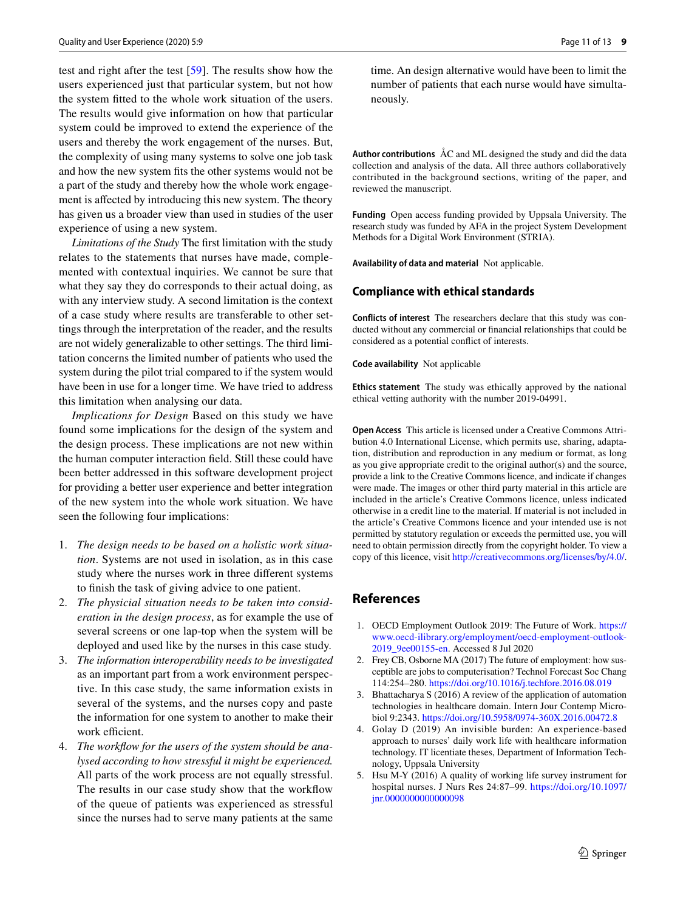test and right after the test [\[59\]](#page-12-15). The results show how the users experienced just that particular system, but not how the system ftted to the whole work situation of the users. The results would give information on how that particular system could be improved to extend the experience of the users and thereby the work engagement of the nurses. But, the complexity of using many systems to solve one job task and how the new system fts the other systems would not be a part of the study and thereby how the whole work engagement is afected by introducing this new system. The theory has given us a broader view than used in studies of the user experience of using a new system.

*Limitations of the Study* The frst limitation with the study relates to the statements that nurses have made, complemented with contextual inquiries. We cannot be sure that what they say they do corresponds to their actual doing, as with any interview study. A second limitation is the context of a case study where results are transferable to other settings through the interpretation of the reader, and the results are not widely generalizable to other settings. The third limitation concerns the limited number of patients who used the system during the pilot trial compared to if the system would have been in use for a longer time. We have tried to address this limitation when analysing our data.

*Implications for Design* Based on this study we have found some implications for the design of the system and the design process. These implications are not new within the human computer interaction feld. Still these could have been better addressed in this software development project for providing a better user experience and better integration of the new system into the whole work situation. We have seen the following four implications:

- 1. *The design needs to be based on a holistic work situation*. Systems are not used in isolation, as in this case study where the nurses work in three diferent systems to fnish the task of giving advice to one patient.
- 2. *The physicial situation needs to be taken into consideration in the design process*, as for example the use of several screens or one lap-top when the system will be deployed and used like by the nurses in this case study.
- 3. *The information interoperability needs to be investigated* as an important part from a work environment perspective. In this case study, the same information exists in several of the systems, and the nurses copy and paste the information for one system to another to make their work efficient.
- 4. *The workfow for the users of the system should be analysed according to how stressful it might be experienced.* All parts of the work process are not equally stressful. The results in our case study show that the workflow of the queue of patients was experienced as stressful since the nurses had to serve many patients at the same

time. An design alternative would have been to limit the number of patients that each nurse would have simultaneously.

**Author contributions** ÅC and ML designed the study and did the data collection and analysis of the data. All three authors collaboratively contributed in the background sections, writing of the paper, and reviewed the manuscript.

**Funding** Open access funding provided by Uppsala University. The research study was funded by AFA in the project System Development Methods for a Digital Work Environment (STRIA).

**Availability of data and material** Not applicable.

#### **Compliance with ethical standards**

**Conflicts of interest** The researchers declare that this study was conducted without any commercial or fnancial relationships that could be considered as a potential confict of interests.

**Code availability** Not applicable

**Ethics statement** The study was ethically approved by the national ethical vetting authority with the number 2019-04991.

**Open Access** This article is licensed under a Creative Commons Attribution 4.0 International License, which permits use, sharing, adaptation, distribution and reproduction in any medium or format, as long as you give appropriate credit to the original author(s) and the source, provide a link to the Creative Commons licence, and indicate if changes were made. The images or other third party material in this article are included in the article's Creative Commons licence, unless indicated otherwise in a credit line to the material. If material is not included in the article's Creative Commons licence and your intended use is not permitted by statutory regulation or exceeds the permitted use, you will need to obtain permission directly from the copyright holder. To view a copy of this licence, visit<http://creativecommons.org/licenses/by/4.0/>.

# **References**

- <span id="page-10-0"></span>1. OECD Employment Outlook 2019: The Future of Work. [https://](https://www.oecd-ilibrary.org/employment/oecd-employment-outlook-2019_9ee00155-en) [www.oecd-ilibrary.org/employment/oecd-employment-outlook-](https://www.oecd-ilibrary.org/employment/oecd-employment-outlook-2019_9ee00155-en)[2019\\_9ee00155-en.](https://www.oecd-ilibrary.org/employment/oecd-employment-outlook-2019_9ee00155-en) Accessed 8 Jul 2020
- <span id="page-10-1"></span>2. Frey CB, Osborne MA (2017) The future of employment: how susceptible are jobs to computerisation? Technol Forecast Soc Chang 114:254–280. <https://doi.org/10.1016/j.techfore.2016.08.019>
- <span id="page-10-2"></span>3. Bhattacharya S (2016) A review of the application of automation technologies in healthcare domain. Intern Jour Contemp Microbiol 9:2343. <https://doi.org/10.5958/0974-360X.2016.00472.8>
- <span id="page-10-3"></span>4. Golay D (2019) An invisible burden: An experience-based approach to nurses' daily work life with healthcare information technology. IT licentiate theses, Department of Information Technology, Uppsala University
- <span id="page-10-4"></span>5. Hsu M-Y (2016) A quality of working life survey instrument for hospital nurses. J Nurs Res 24:87–99. [https://doi.org/10.1097/](https://doi.org/10.1097/jnr.0000000000000098) [jnr.0000000000000098](https://doi.org/10.1097/jnr.0000000000000098)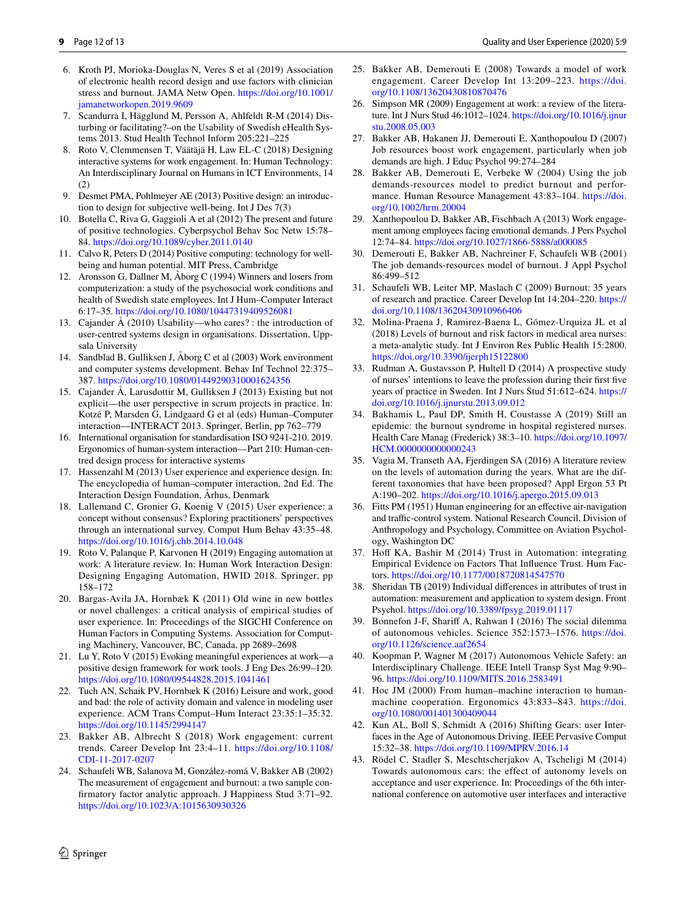- <span id="page-11-0"></span>6. Kroth PJ, Morioka-Douglas N, Veres S et al (2019) Association of electronic health record design and use factors with clinician stress and burnout. JAMA Netw Open. [https://doi.org/10.1001/](https://doi.org/10.1001/jamanetworkopen.2019.9609) [jamanetworkopen.2019.9609](https://doi.org/10.1001/jamanetworkopen.2019.9609)
- <span id="page-11-1"></span>7. Scandurra I, Hägglund M, Persson A, Ahlfeldt R-M (2014) Disturbing or facilitating?–on the Usability of Swedish eHealth Systems 2013. Stud Health Technol Inform 205:221–225
- <span id="page-11-2"></span>8. Roto V, Clemmensen T, Väätäjä H, Law EL-C (2018) Designing interactive systems for work engagement. In: Human Technology: An Interdisciplinary Journal on Humans in ICT Environments, 14 (2)
- <span id="page-11-3"></span>9. Desmet PMA, Pohlmeyer AE (2013) Positive design: an introduction to design for subjective well-being. Int J Des 7(3)
- <span id="page-11-4"></span>10. Botella C, Riva G, Gaggioli A et al (2012) The present and future of positive technologies. Cyberpsychol Behav Soc Netw 15:78– 84. <https://doi.org/10.1089/cyber.2011.0140>
- <span id="page-11-5"></span>11. Calvo R, Peters D (2014) Positive computing: technology for wellbeing and human potential. MIT Press, Cambridge
- <span id="page-11-6"></span>12. Aronsson G, Dallner M, Åborg C (1994) Winners and losers from computerization: a study of the psychosocial work conditions and health of Swedish state employees. Int J Hum–Computer Interact 6:17–35.<https://doi.org/10.1080/10447319409526081>
- <span id="page-11-7"></span>13. Cajander Å (2010) Usability—who cares? : the introduction of user-centred systems design in organisations. Dissertation, Uppsala University
- <span id="page-11-8"></span>14. Sandblad B, Gulliksen J, Åborg C et al (2003) Work environment and computer systems development. Behav Inf Technol 22:375– 387.<https://doi.org/10.1080/01449290310001624356>
- <span id="page-11-9"></span>15. Cajander Å, Larusdottir M, Gulliksen J (2013) Existing but not explicit—the user perspective in scrum projects in practice. In: Kotzé P, Marsden G, Lindgaard G et al (eds) Human–Computer interaction—INTERACT 2013. Springer, Berlin, pp 762–779
- <span id="page-11-10"></span>16. International organisation for standardisation ISO 9241-210. 2019. Ergonomics of human-system interaction—Part 210: Human-centred design process for interactive systems
- <span id="page-11-11"></span>17. Hassenzahl M (2013) User experience and experience design. In: The encyclopedia of human–computer interaction, 2nd Ed. The Interaction Design Foundation, Århus, Denmark
- <span id="page-11-12"></span>18. Lallemand C, Gronier G, Koenig V (2015) User experience: a concept without consensus? Exploring practitioners' perspectives through an international survey. Comput Hum Behav 43:35–48. <https://doi.org/10.1016/j.chb.2014.10.048>
- <span id="page-11-13"></span>19. Roto V, Palanque P, Karvonen H (2019) Engaging automation at work: A literature review. In: Human Work Interaction Design: Designing Engaging Automation, HWID 2018. Springer, pp 158–172
- <span id="page-11-14"></span>20. Bargas-Avila JA, Hornbæk K (2011) Old wine in new bottles or novel challenges: a critical analysis of empirical studies of user experience. In: Proceedings of the SIGCHI Conference on Human Factors in Computing Systems. Association for Computing Machinery, Vancouver, BC, Canada, pp 2689–2698
- 21. Lu Y, Roto V (2015) Evoking meaningful experiences at work—a positive design framework for work tools. J Eng Des 26:99–120. <https://doi.org/10.1080/09544828.2015.1041461>
- <span id="page-11-15"></span>22. Tuch AN, Schaik PV, Hornbæk K (2016) Leisure and work, good and bad: the role of activity domain and valence in modeling user experience. ACM Trans Comput–Hum Interact 23:35:1–35:32. <https://doi.org/10.1145/2994147>
- <span id="page-11-16"></span>23. Bakker AB, Albrecht S (2018) Work engagement: current trends. Career Develop Int 23:4–11. [https://doi.org/10.1108/](https://doi.org/10.1108/CDI-11-2017-0207) [CDI-11-2017-0207](https://doi.org/10.1108/CDI-11-2017-0207)
- <span id="page-11-17"></span>24. Schaufeli WB, Salanova M, González-romá V, Bakker AB (2002) The measurement of engagement and burnout: a two sample confrmatory factor analytic approach. J Happiness Stud 3:71–92. <https://doi.org/10.1023/A:1015630930326>
- <span id="page-11-18"></span>25. Bakker AB, Demerouti E (2008) Towards a model of work engagement. Career Develop Int 13:209–223. [https://doi.](https://doi.org/10.1108/13620430810870476) [org/10.1108/13620430810870476](https://doi.org/10.1108/13620430810870476)
- <span id="page-11-19"></span>26. Simpson MR (2009) Engagement at work: a review of the literature. Int J Nurs Stud 46:1012–1024. [https://doi.org/10.1016/j.ijnur](https://doi.org/10.1016/j.ijnurstu.2008.05.003) [stu.2008.05.003](https://doi.org/10.1016/j.ijnurstu.2008.05.003)
- <span id="page-11-20"></span>27. Bakker AB, Hakanen JJ, Demerouti E, Xanthopoulou D (2007) Job resources boost work engagement, particularly when job demands are high. J Educ Psychol 99:274–284
- <span id="page-11-21"></span>28. Bakker AB, Demerouti E, Verbeke W (2004) Using the job demands-resources model to predict burnout and performance. Human Resource Management 43:83–104. [https://doi.](https://doi.org/10.1002/hrm.20004) [org/10.1002/hrm.20004](https://doi.org/10.1002/hrm.20004)
- <span id="page-11-22"></span>29. Xanthopoulou D, Bakker AB, Fischbach A (2013) Work engagement among employees facing emotional demands. J Pers Psychol 12:74–84. <https://doi.org/10.1027/1866-5888/a000085>
- <span id="page-11-36"></span>30. Demerouti E, Bakker AB, Nachreiner F, Schaufeli WB (2001) The job demands-resources model of burnout. J Appl Psychol 86:499–512
- <span id="page-11-23"></span>31. Schaufeli WB, Leiter MP, Maslach C (2009) Burnout: 35 years of research and practice. Career Develop Int 14:204–220. [https://](https://doi.org/10.1108/13620430910966406) [doi.org/10.1108/13620430910966406](https://doi.org/10.1108/13620430910966406)
- <span id="page-11-24"></span>32. Molina-Praena J, Ramirez-Baena L, Gómez-Urquiza JL et al (2018) Levels of burnout and risk factors in medical area nurses: a meta-analytic study. Int J Environ Res Public Health 15:2800. <https://doi.org/10.3390/ijerph15122800>
- <span id="page-11-25"></span>33. Rudman A, Gustavsson P, Hultell D (2014) A prospective study of nurses' intentions to leave the profession during their frst fve years of practice in Sweden. Int J Nurs Stud 51:612–624. [https://](https://doi.org/10.1016/j.ijnurstu.2013.09.012) [doi.org/10.1016/j.ijnurstu.2013.09.012](https://doi.org/10.1016/j.ijnurstu.2013.09.012)
- <span id="page-11-26"></span>34. Bakhamis L, Paul DP, Smith H, Coustasse A (2019) Still an epidemic: the burnout syndrome in hospital registered nurses. Health Care Manag (Frederick) 38:3–10. [https://doi.org/10.1097/](https://doi.org/10.1097/HCM.0000000000000243) [HCM.0000000000000243](https://doi.org/10.1097/HCM.0000000000000243)
- <span id="page-11-27"></span>35. Vagia M, Transeth AA, Fjerdingen SA (2016) A literature review on the levels of automation during the years. What are the different taxonomies that have been proposed? Appl Ergon 53 Pt A:190–202.<https://doi.org/10.1016/j.apergo.2015.09.013>
- <span id="page-11-28"></span>36. Fitts PM (1951) Human engineering for an efective air-navigation and traffic-control system. National Research Council, Division of Anthropology and Psychology, Committee on Aviation Psychology, Washington DC
- <span id="page-11-29"></span>37. Hoff KA, Bashir M (2014) Trust in Automation: integrating Empirical Evidence on Factors That Infuence Trust. Hum Factors.<https://doi.org/10.1177/0018720814547570>
- <span id="page-11-30"></span>38. Sheridan TB (2019) Individual diferences in attributes of trust in automation: measurement and application to system design. Front Psychol.<https://doi.org/10.3389/fpsyg.2019.01117>
- <span id="page-11-31"></span>39. Bonnefon J-F, Sharif A, Rahwan I (2016) The social dilemma of autonomous vehicles. Science 352:1573–1576. [https://doi.](https://doi.org/10.1126/science.aaf2654) [org/10.1126/science.aaf2654](https://doi.org/10.1126/science.aaf2654)
- <span id="page-11-32"></span>40. Koopman P, Wagner M (2017) Autonomous Vehicle Safety: an Interdisciplinary Challenge. IEEE Intell Transp Syst Mag 9:90– 96.<https://doi.org/10.1109/MITS.2016.2583491>
- <span id="page-11-33"></span>41. Hoc JM (2000) From human–machine interaction to humanmachine cooperation. Ergonomics 43:833–843. [https://doi.](https://doi.org/10.1080/001401300409044) [org/10.1080/001401300409044](https://doi.org/10.1080/001401300409044)
- <span id="page-11-34"></span>42. Kun AL, Boll S, Schmidt A (2016) Shifting Gears: user Interfaces in the Age of Autonomous Driving. IEEE Pervasive Comput 15:32–38. <https://doi.org/10.1109/MPRV.2016.14>
- <span id="page-11-35"></span>43. Rödel C, Stadler S, Meschtscherjakov A, Tscheligi M (2014) Towards autonomous cars: the effect of autonomy levels on acceptance and user experience. In: Proceedings of the 6th international conference on automotive user interfaces and interactive